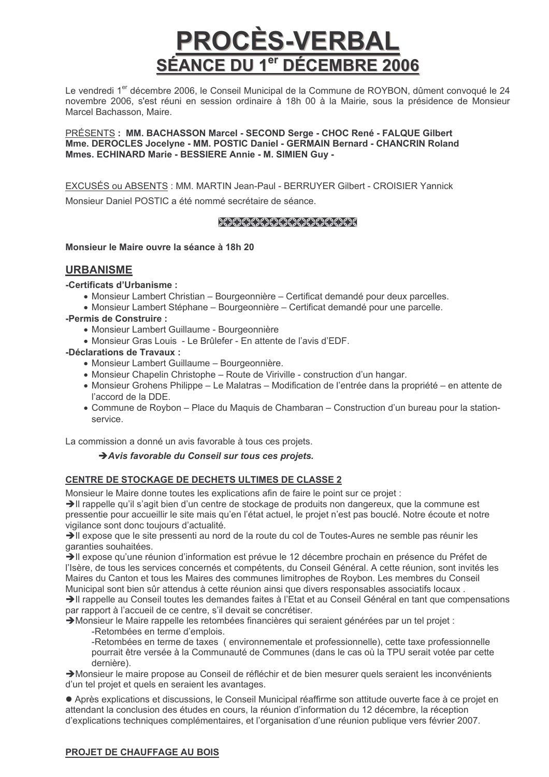# PROCÉS-VERBAL SÉANCE DU 1<sup>er</sup> DÉCEMBRE 2006

Le vendredi 1<sup>er</sup> décembre 2006, le Conseil Municipal de la Commune de ROYBON, dûment convoqué le 24 novembre 2006, s'est réuni en session ordinaire à 18h 00 à la Mairie, sous la présidence de Monsieur Marcel Bachasson, Maire.

PRÉSENTS : MM. BACHASSON Marcel - SECOND Serge - CHOC René - FALQUE Gilbert Mme. DEROCLES Jocelyne - MM. POSTIC Daniel - GERMAIN Bernard - CHANCRIN Roland Mmes. ECHINARD Marie - BESSIERE Annie - M. SIMIEN Guy -

EXCUSÉS ou ABSENTS : MM. MARTIN Jean-Paul - BERRUYER Gilbert - CROISIER Yannick Monsieur Daniel POSTIC a été nommé secrétaire de séance.

# XXXXXXXXXXXXXXXXX

Monsieur le Maire ouvre la séance à 18h 20

# **URBANISME**

-Certificats d'Urbanisme :

- Monsieur Lambert Christian Bourgeonnière Certificat demandé pour deux parcelles.
- Monsieur Lambert Stéphane Bourgeonnière Certificat demandé pour une parcelle.
- -Permis de Construire :
	- Monsieur Lambert Guillaume Bourgeonnière
	- Monsieur Gras Louis Le Brûlefer En attente de l'avis d'EDF.

# -Déclarations de Travaux :

- Monsieur Lambert Guillaume Bourgeonnière.
- Monsieur Chapelin Christophe Route de Viriville construction d'un hangar.
- Monsieur Grohens Philippe Le Malatras Modification de l'entrée dans la propriété en attente de l'accord de la DDE.
- Commune de Roybon Place du Maquis de Chambaran Construction d'un bureau pour la stationservice.

La commission a donné un avis favorable à tous ces projets.

# Avis favorable du Conseil sur tous ces projets.

# CENTRE DE STOCKAGE DE DECHETS ULTIMES DE CLASSE 2

Monsieur le Maire donne toutes les explications afin de faire le point sur ce projet :

>Il rappelle qu'il s'agit bien d'un centre de stockage de produits non dangereux, que la commune est pressentie pour accueillir le site mais qu'en l'état actuel, le projet n'est pas bouclé. Notre écoute et notre vigilance sont donc toujours d'actualité.

Il expose que le site pressenti au nord de la route du col de Toutes-Aures ne semble pas réunir les garanties souhaitées.

→Il expose qu'une réunion d'information est prévue le 12 décembre prochain en présence du Préfet de l'Isère, de tous les services concernés et compétents, du Conseil Général. A cette réunion, sont invités les Maires du Canton et tous les Maires des communes limitrophes de Roybon. Les membres du Conseil Municipal sont bien sûr attendus à cette réunion ainsi que divers responsables associatifs locaux. >Il rappelle au Conseil toutes les demandes faites à l'Etat et au Conseil Général en tant que compensations

par rapport à l'accueil de ce centre, s'il devait se concrétiser.

>Monsieur le Maire rappelle les retombées financières qui seraient générées par un tel projet :

-Retombées en terme d'emplois.

-Retombées en terme de taxes (environnementale et professionnelle), cette taxe professionnelle pourrait être versée à la Communauté de Communes (dans le cas où la TPU serait votée par cette dernière).

>Monsieur le maire propose au Conseil de réfléchir et de bien mesurer quels seraient les inconvénients d'un tel projet et quels en seraient les avantages.

• Après explications et discussions, le Conseil Municipal réaffirme son attitude ouverte face à ce proiet en attendant la conclusion des études en cours, la réunion d'information du 12 décembre, la réception d'explications techniques complémentaires, et l'organisation d'une réunion publique vers février 2007.

# PROJET DE CHAUFFAGE AU BOIS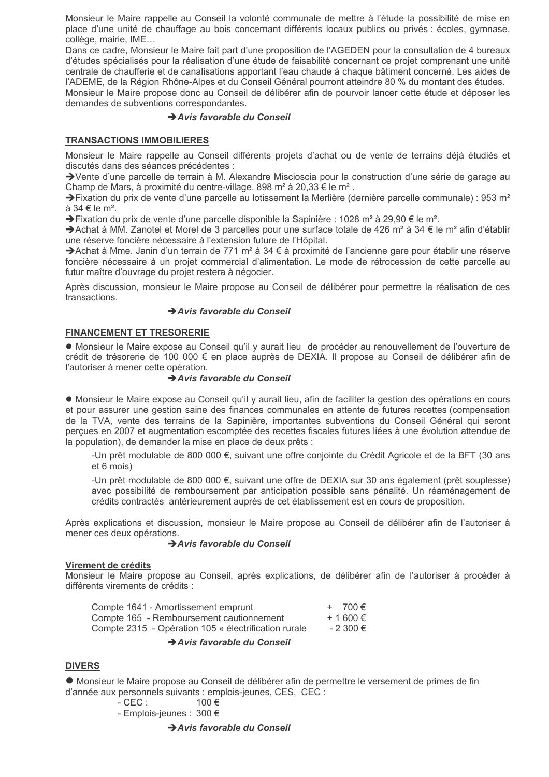Monsieur le Maire rappelle au Conseil la volonté communale de mettre à l'étude la possibilité de mise en place d'une unité de chauffage au bois concernant différents locaux publics ou privés : écoles, gymnase, collège, mairie, IME...

Dans ce cadre, Monsieur le Maire fait part d'une proposition de l'AGEDEN pour la consultation de 4 bureaux d'études spécialisés pour la réalisation d'une étude de faisabilité concernant ce projet comprenant une unité centrale de chaufferie et de canalisations apportant l'eau chaude à chaque bâtiment concerné. Les aides de l'ADEME, de la Région Rhône-Alpes et du Conseil Général pourront atteindre 80 % du montant des études. Monsieur le Maire propose donc au Conseil de délibérer afin de pourvoir lancer cette étude et déposer les demandes de subventions correspondantes.

## Avis favorable du Conseil

# **TRANSACTIONS IMMOBILIERES**

Monsieur le Maire rappelle au Conseil différents proiets d'achat ou de vente de terrains déjà étudiés et discutés dans des séances précédentes :

→ Vente d'une parcelle de terrain à M. Alexandre Miscioscia pour la construction d'une série de garage au Champ de Mars, à proximité du centre-village. 898 m<sup>2</sup> à 20,33 € le m<sup>2</sup>.

→ Fixation du prix de vente d'une parcelle au lotissement la Merlière (dernière parcelle communale) : 953 m<sup>2</sup> à 34 € le m<sup>2</sup>.

→ Fixation du prix de vente d'une parcelle disponible la Sapinière : 1028 m<sup>2</sup> à 29.90 € le m<sup>2</sup>.

→ Achat à MM. Zanotel et Morel de 3 parcelles pour une surface totale de 426 m<sup>2</sup> à 34 € le m<sup>2</sup> afin d'établir une réserve foncière nécessaire à l'extension future de l'Hôpital.

→ Achat à Mme, Janin d'un terrain de 771 m<sup>2</sup> à 34 € à proximité de l'ancienne gare pour établir une réserve foncière nécessaire à un projet commercial d'alimentation. Le mode de rétrocession de cette parcelle au futur maître d'ouvrage du projet restera à négocier.

Après discussion, monsieur le Maire propose au Conseil de délibérer pour permettre la réalisation de ces transactions.

# Avis favorable du Conseil

## **FINANCEMENT ET TRESORERIE**

• Monsieur le Maire expose au Conseil qu'il y aurait lieu de procéder au renouvellement de l'ouverture de crédit de trésorerie de 100 000 € en place auprès de DEXIA. Il propose au Conseil de délibérer afin de l'autoriser à mener cette opération.

# Avis favorable du Conseil

• Monsieur le Maire expose au Conseil qu'il y aurait lieu, afin de faciliter la gestion des opérations en cours et pour assurer une gestion saine des finances communales en attente de futures recettes (compensation de la TVA, vente des terrains de la Sapinière, importantes subventions du Conseil Général qui seront percues en 2007 et augmentation escomptée des recettes fiscales futures liées à une évolution attendue de la population), de demander la mise en place de deux prêts :

-Un prêt modulable de 800 000 €, suivant une offre coniointe du Crédit Agricole et de la BFT (30 ans et 6 mois)

-Un prêt modulable de 800 000 €, suivant une offre de DEXIA sur 30 ans également (prêt souplesse) avec possibilité de remboursement par anticipation possible sans pénalité. Un réaménagement de crédits contractés antérieurement auprès de cet établissement est en cours de proposition.

Après explications et discussion, monsieur le Maire propose au Conseil de délibérer afin de l'autoriser à mener ces deux opérations.

## Avis favorable du Conseil

## Virement de crédits

Monsieur le Maire propose au Conseil, après explications, de délibérer afin de l'autoriser à procéder à différents virements de crédits :

| Compte 1641 - Amortissement emprunt                  | $+ 700 \in$  |
|------------------------------------------------------|--------------|
| Compte 165 - Remboursement cautionnement             | $+ 1600 \in$ |
| Compte 2315 - Opération 105 « électrification rurale | $-2300€$     |

## Avis favorable du Conseil

# **DIVERS**

• Monsieur le Maire propose au Conseil de délibérer afin de permettre le versement de primes de fin d'année aux personnels suivants : emplois-jeunes, CES, CEC :

$$
\mathsf{CEC}: \qquad \qquad 100 \in
$$

- Emplois-jeunes : 300 €

## Avis favorable du Conseil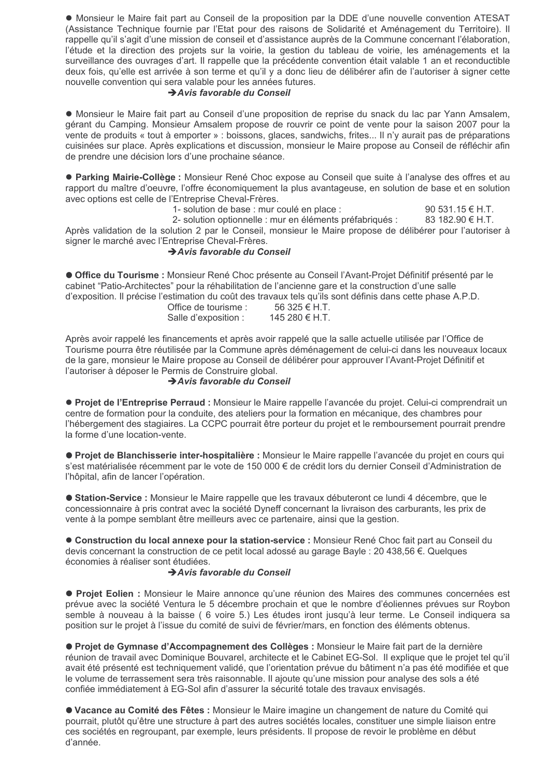• Monsieur le Maire fait part au Conseil de la proposition par la DDE d'une nouvelle convention ATESAT (Assistance Technique fournie par l'Etat pour des raisons de Solidarité et Aménagement du Territoire). Il rappelle qu'il s'agit d'une mission de conseil et d'assistance auprès de la Commune concernant l'élaboration, l'étude et la direction des projets sur la voirie, la gestion du tableau de voirie, les aménagements et la surveillance des ouvrages d'art. Il rappelle que la précédente convention était valable 1 an et reconductible deux fois, qu'elle est arrivée à son terme et qu'il y a donc lieu de délibérer afin de l'autoriser à signer cette nouvelle convention qui sera valable pour les années futures.

## Avis favorable du Conseil

• Monsieur le Maire fait part au Conseil d'une proposition de reprise du snack du lac par Yann Amsalem. gérant du Camping. Monsieur Amsalem propose de rouvrir ce point de vente pour la saison 2007 pour la vente de produits « tout à emporter » : boissons, glaces, sandwichs, frites... Il n'y aurait pas de préparations cuisinées sur place. Après explications et discussion, monsieur le Maire propose au Conseil de réfléchir afin de prendre une décision lors d'une prochaine séance.

• Parking Mairie-Collège : Monsieur René Choc expose au Conseil que suite à l'analyse des offres et au rapport du maître d'oeuvre, l'offre économiquement la plus avantageuse, en solution de base et en solution avec options est celle de l'Entreprise Cheval-Frères.

1- solution de base : mur coulé en place :

90 531 15  $\in$  H.T.

2- solution optionnelle : mur en éléments préfabriqués : 83 182.90 € H.T. Après validation de la solution 2 par le Conseil, monsieur le Maire propose de délibérer pour l'autoriser à signer le marché avec l'Entreprise Cheval-Frères.

# Avis favorable du Conseil

Office du Tourisme : Monsieur René Choc présente au Conseil l'Avant-Projet Définitif présenté par le cabinet "Patio-Architectes" pour la réhabilitation de l'ancienne gare et la construction d'une salle d'exposition. Il précise l'estimation du coût des travaux tels qu'ils sont définis dans cette phase A.P.D.

| Office de tourisme : | 56 325 € H.T.  |
|----------------------|----------------|
| Salle d'exposition : | 145 280 € H.T. |

Après avoir rappelé les financements et après avoir rappelé que la salle actuelle utilisée par l'Office de Tourisme pourra être réutilisée par la Commune après déménagement de celui-ci dans les nouveaux locaux de la gare, monsieur le Maire propose au Conseil de délibérer pour approuver l'Avant-Projet Définitif et l'autoriser à déposer le Permis de Construire global.

## Avis favorable du Conseil

• Projet de l'Entreprise Perraud : Monsieur le Maire rappelle l'avancée du projet. Celui-ci comprendrait un centre de formation pour la conduite, des ateliers pour la formation en mécanique, des chambres pour l'hébergement des stagiaires. La CCPC pourrait être porteur du projet et le remboursement pourrait prendre la forme d'une location-vente.

• Proiet de Blanchisserie inter-hospitalière : Monsieur le Maire rappelle l'avancée du proiet en cours qui s'est matérialisée récemment par le vote de 150 000 € de crédit lors du dernier Conseil d'Administration de l'hôpital, afin de lancer l'opération.

· Station-Service : Monsieur le Maire rappelle que les travaux débuteront ce lundi 4 décembre, que le concessionnaire à pris contrat avec la société Dyneff concernant la livraison des carburants, les prix de vente à la pompe semblant être meilleurs avec ce partenaire, ainsi que la gestion.

• Construction du local annexe pour la station-service : Monsieur René Choc fait part au Conseil du devis concernant la construction de ce petit local adossé au garage Bayle : 20 438.56 €. Quelques économies à réaliser sont étudiées.

# Avis favorable du Conseil

• Projet Eolien : Monsieur le Maire annonce qu'une réunion des Maires des communes concernées est prévue avec la société Ventura le 5 décembre prochain et que le nombre d'éoliennes prévues sur Roybon semble à nouveau à la baisse (6 voire 5.) Les études iront jusqu'à leur terme. Le Conseil indiquera sa position sur le projet à l'issue du comité de suivi de février/mars, en fonction des éléments obtenus.

• Projet de Gymnase d'Accompagnement des Collèges : Monsieur le Maire fait part de la dernière réunion de travail avec Dominique Bouvarel, architecte et le Cabinet EG-Sol. Il explique que le projet tel qu'il avait été présenté est techniquement validé, que l'orientation prévue du bâtiment n'a pas été modifiée et que le volume de terrassement sera très raisonnable. Il ajoute qu'une mission pour analyse des sols a été confiée immédiatement à EG-Sol afin d'assurer la sécurité totale des travaux envisagés.

• Vacance au Comité des Fêtes : Monsieur le Maire imagine un changement de nature du Comité qui pourrait, plutôt qu'être une structure à part des autres sociétés locales, constituer une simple liaison entre ces sociétés en regroupant, par exemple, leurs présidents. Il propose de revoir le problème en début d'année.